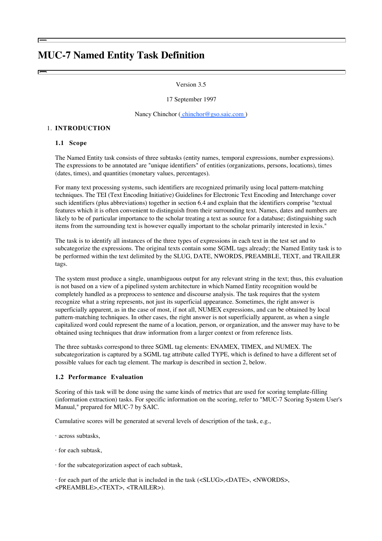# **MUC-7 Named Entity Task Definition**

#### Version 3.5

#### 17 September 1997

Nancy Chinchor (chinchor@gso.saic.com)

#### 1. **INTRODUCTION**

#### **1.1 Scope**

The Named Entity task consists of three subtasks (entity names, temporal expressions, number expressions). The expressions to be annotated are "unique identifiers" of entities (organizations, persons, locations), times (dates, times), and quantities (monetary values, percentages).

For many text processing systems, such identifiers are recognized primarily using local pattern-matching techniques. The TEI (Text Encoding Initiative) Guidelines for Electronic Text Encoding and Interchange cover such identifiers (plus abbreviations) together in section 6.4 and explain that the identifiers comprise "textual features which it is often convenient to distinguish from their surrounding text. Names, dates and numbers are likely to be of particular importance to the scholar treating a text as source for a database; distinguishing such items from the surrounding text is however equally important to the scholar primarily interested in lexis."

The task is to identify all instances of the three types of expressions in each text in the test set and to subcategorize the expressions. The original texts contain some SGML tags already; the Named Entity task is to be performed within the text delimited by the SLUG, DATE, NWORDS, PREAMBLE, TEXT, and TRAILER tags.

The system must produce a single, unambiguous output for any relevant string in the text; thus, this evaluation is not based on a view of a pipelined system architecture in which Named Entity recognition would be completely handled as a preprocess to sentence and discourse analysis. The task requires that the system recognize what a string represents, not just its superficial appearance. Sometimes, the right answer is superficially apparent, as in the case of most, if not all, NUMEX expressions, and can be obtained by local pattern-matching techniques. In other cases, the right answer is not superficially apparent, as when a single capitalized word could represent the name of a location, person, or organization, and the answer may have to be obtained using techniques that draw information from a larger context or from reference lists.

The three subtasks correspond to three SGML tag elements: ENAMEX, TIMEX, and NUMEX. The subcategorization is captured by a SGML tag attribute called TYPE, which is defined to have a different set of possible values for each tag element. The markup is described in section 2, below.

#### **1.2 Performance Evaluation**

Scoring of this task will be done using the same kinds of metrics that are used for scoring template-filling (information extraction) tasks. For specific information on the scoring, refer to "MUC-7 Scoring System User's Manual," prepared for MUC-7 by SAIC.

Cumulative scores will be generated at several levels of description of the task, e.g.,

- · across subtasks,
- · for each subtask,

· for the subcategorization aspect of each subtask,

· for each part of the article that is included in the task (<SLUG>,<DATE>, <NWORDS>, <PREAMBLE>,<TEXT>, <TRAILER>).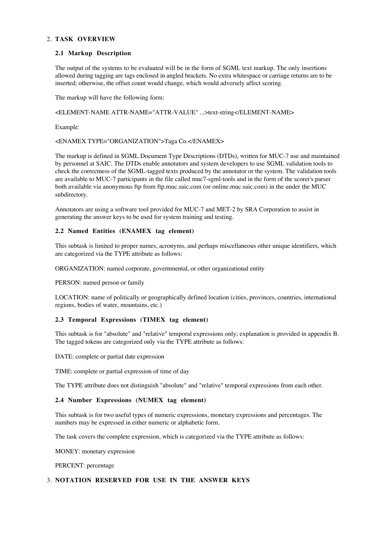# **TASK OVERVIEW** 2.

#### **2.1 Markup Description**

The output of the systems to be evaluated will be in the form of SGML text markup. The only insertions allowed during tagging are tags enclosed in angled brackets. No extra whitespace or carriage returns are to be inserted; otherwise, the offset count would change, which would adversely affect scoring.

The markup will have the following form:

<ELEMENT-NAME ATTR-NAME="ATTR-VALUE" ...>text-string</ELEMENT-NAME>

Example:

<ENAMEX TYPE="ORGANIZATION">Taga Co.</ENAMEX>

The markup is defined in SGML Document Type Descriptions (DTDs), written for MUC-7 use and maintained by personnel at SAIC. The DTDs enable annotators and system developers to use SGML validation tools to check the correctness of the SGML-tagged texts produced by the annotator or the system. The validation tools are available to MUC-7 participants in the file called muc7-sgml-tools and in the form of the scorer's parser both available via anonymous ftp from ftp.muc.saic.com (or online.muc.saic.com) in the under the MUC subdirectory.

Annotators are using a software tool provided for MUC-7 and MET-2 by SRA Corporation to assist in generating the answer keys to be used for system training and testing.

#### **2.2 Named Entities (ENAMEX tag element)**

This subtask is limited to proper names, acronyms, and perhaps miscellaneous other unique identifiers, which are categorized via the TYPE attribute as follows:

ORGANIZATION: named corporate, governmental, or other organizational entity

PERSON: named person or family

LOCATION: name of politically or geographically defined location (cities, provinces, countries, international regions, bodies of water, mountains, etc.)

## **2.3 Temporal Expressions (TIMEX tag element)**

This subtask is for "absolute" and "relative" temporal expressions only; explanation is provided in appendix B. The tagged tokens are categorized only via the TYPE attribute as follows:

DATE: complete or partial date expression

TIME: complete or partial expression of time of day

The TYPE attribute does not distinguish "absolute" and "relative" temporal expressions from each other.

#### **2.4 Number Expressions (NUMEX tag element)**

This subtask is for two useful types of numeric expressions, monetary expressions and percentages. The numbers may be expressed in either numeric or alphabetic form.

The task covers the complete expression, which is categorized via the TYPE attribute as follows:

MONEY: monetary expression

PERCENT: percentage

#### 3. **NOTATION RESERVED FOR USE IN THE ANSWER KEYS**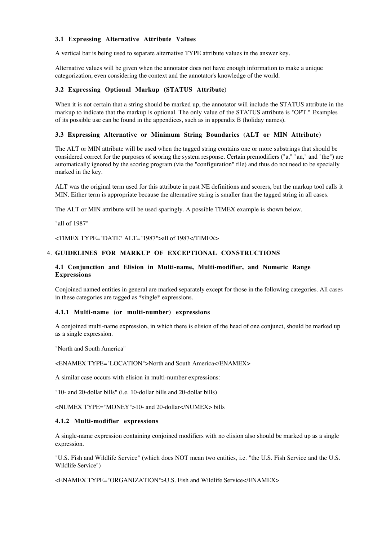#### **3.1 Expressing Alternative Attribute Values**

A vertical bar is being used to separate alternative TYPE attribute values in the answer key.

Alternative values will be given when the annotator does not have enough information to make a unique categorization, even considering the context and the annotator's knowledge of the world.

#### **3.2 Expressing Optional Markup (STATUS Attribute)**

When it is not certain that a string should be marked up, the annotator will include the STATUS attribute in the markup to indicate that the markup is optional. The only value of the STATUS attribute is "OPT." Examples of its possible use can be found in the appendices, such as in appendix B (holiday names).

#### **3.3 Expressing Alternative or Minimum String Boundaries (ALT or MIN Attribute)**

The ALT or MIN attribute will be used when the tagged string contains one or more substrings that should be considered correct for the purposes of scoring the system response. Certain premodifiers ("a," "an," and "the") are automatically ignored by the scoring program (via the "configuration" file) and thus do not need to be specially marked in the key.

ALT was the original term used for this attribute in past NE definitions and scorers, but the markup tool calls it MIN. Either term is appropriate because the alternative string is smaller than the tagged string in all cases.

The ALT or MIN attribute will be used sparingly. A possible TIMEX example is shown below.

"all of 1987"

<TIMEX TYPE="DATE" ALT="1987">all of 1987</TIMEX>

# **GUIDELINES FOR MARKUP OF EXCEPTIONAL CONSTRUCTIONS** 4.

## **4.1 Conjunction and Elision in Multi-name, Multi-modifier, and Numeric Range Expressions**

Conjoined named entities in general are marked separately except for those in the following categories. All cases in these categories are tagged as \*single\* expressions.

### **4.1.1 Multi-name (or multi-number) expressions**

A conjoined multi-name expression, in which there is elision of the head of one conjunct, should be marked up as a single expression.

"North and South America"

<ENAMEX TYPE="LOCATION">North and South America</ENAMEX>

A similar case occurs with elision in multi-number expressions:

"10- and 20-dollar bills" (i.e. 10-dollar bills and 20-dollar bills)

<NUMEX TYPE="MONEY">10- and 20-dollar</NUMEX> bills

#### **4.1.2 Multi-modifier expressions**

A single-name expression containing conjoined modifiers with no elision also should be marked up as a single expression.

"U.S. Fish and Wildlife Service" (which does NOT mean two entities, i.e. "the U.S. Fish Service and the U.S. Wildlife Service")

<ENAMEX TYPE="ORGANIZATION">U.S. Fish and Wildlife Service</ENAMEX>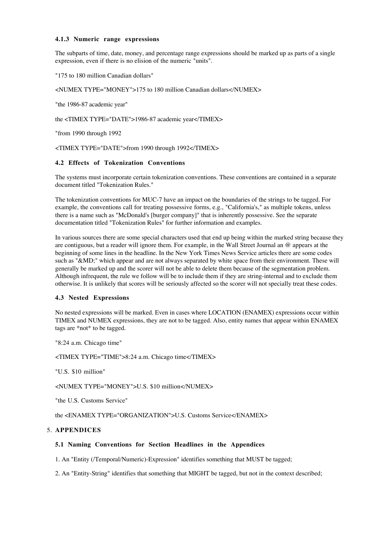#### **4.1.3 Numeric range expressions**

The subparts of time, date, money, and percentage range expressions should be marked up as parts of a single expression, even if there is no elision of the numeric "units".

```
"175 to 180 million Canadian dollars"
```
<NUMEX TYPE="MONEY">175 to 180 million Canadian dollars</NUMEX>

"the 1986-87 academic year"

the <TIMEX TYPE="DATE">1986-87 academic year</TIMEX>

"from 1990 through 1992

<TIMEX TYPE="DATE">from 1990 through 1992</TIMEX>

# **4.2 Effects of Tokenization Conventions**

The systems must incorporate certain tokenization conventions. These conventions are contained in a separate document titled "Tokenization Rules."

The tokenization conventions for MUC-7 have an impact on the boundaries of the strings to be tagged. For example, the conventions call for treating possessive forms, e.g., "California's," as multiple tokens, unless there is a name such as "McDonald's [burger company]" that is inherently possessive. See the separate documentation titled "Tokenization Rules" for further information and examples.

In various sources there are some special characters used that end up being within the marked string because they are contiguous, but a reader will ignore them. For example, in the Wall Street Journal an @ appears at the beginning of some lines in the headline. In the New York Times News Service articles there are some codes such as "&MD;" which appear and are not always separated by white space from their environment. These will generally be marked up and the scorer will not be able to delete them because of the segmentation problem. Although infrequent, the rule we follow will be to include them if they are string-internal and to exclude them otherwise. It is unlikely that scores will be seriously affected so the scorer will not specially treat these codes.

## **4.3 Nested Expressions**

No nested expressions will be marked. Even in cases where LOCATION (ENAMEX) expressions occur within TIMEX and NUMEX expressions, they are not to be tagged. Also, entity names that appear within ENAMEX tags are \*not\* to be tagged.

"8:24 a.m. Chicago time"

<TIMEX TYPE="TIME">8:24 a.m. Chicago time</TIMEX>

"U.S. \$10 million"

<NUMEX TYPE="MONEY">U.S. \$10 million</NUMEX>

"the U.S. Customs Service"

the <ENAMEX TYPE="ORGANIZATION">U.S. Customs Service</ENAMEX>

## **APPENDICES** 5.

## **5.1 Naming Conventions for Section Headlines in the Appendices**

1. An "Entity (/Temporal/Numeric)-Expression" identifies something that MUST be tagged;

2. An "Entity-String" identifies that something that MIGHT be tagged, but not in the context described;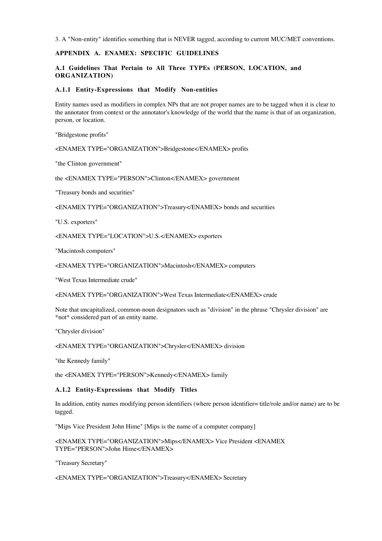3. A "Non-entity" identifies something that is NEVER tagged, according to current MUC/MET conventions.

# **APPENDIX A. ENAMEX: SPECIFIC GUIDELINES**

## **A.1 Guidelines That Pertain to All Three TYPEs (PERSON, LOCATION, and ORGANIZATION)**

#### **A.1.1 Entity-Expressions that Modify Non-entities**

Entity names used as modifiers in complex NPs that are not proper names are to be tagged when it is clear to the annotator from context or the annotator's knowledge of the world that the name is that of an organization, person, or location.

"Bridgestone profits"

<ENAMEX TYPE="ORGANIZATION">Bridgestone</ENAMEX> profits

"the Clinton government"

the <ENAMEX TYPE="PERSON">Clinton</ENAMEX> government

"Treasury bonds and securities"

<ENAMEX TYPE="ORGANIZATION">Treasury</ENAMEX> bonds and securities

"U.S. exporters"

<ENAMEX TYPE="LOCATION">U.S.</ENAMEX> exporters

"Macintosh computers"

<ENAMEX TYPE="ORGANIZATION">Macintosh</ENAMEX> computers

"West Texas Intermediate crude"

<ENAMEX TYPE="ORGANIZATION">West Texas Intermediate</ENAMEX> crude

Note that uncapitalized, common-noun designators such as "division" in the phrase "Chrysler division" are \*not\* considered part of an entity name.

"Chrysler division"

<ENAMEX TYPE="ORGANIZATION">Chrysler</ENAMEX> division

"the Kennedy family"

the <ENAMEX TYPE="PERSON">Kennedy</ENAMEX> family

## **A.1.2 Entity-Expressions that Modify Titles**

In addition, entity names modifying person identifiers (where person identifier= title/role and/or name) are to be tagged.

"Mips Vice President John Hime" [Mips is the name of a computer company]

<ENAMEX TYPE="ORGANIZATION">Mips</ENAMEX> Vice President <ENAMEX TYPE="PERSON">John Hime</ENAMEX>

"Treasury Secretary"

<ENAMEX TYPE="ORGANIZATION">Treasury</ENAMEX> Secretary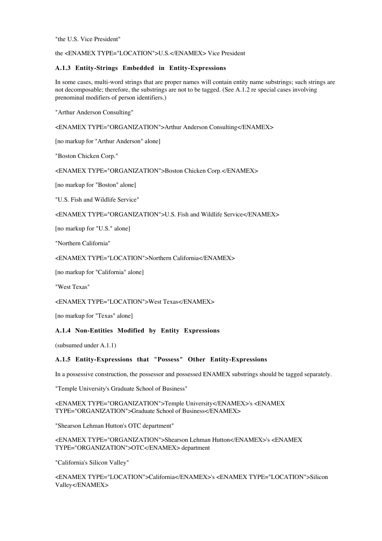"the U.S. Vice President"

the <ENAMEX TYPE="LOCATION">U.S.</ENAMEX> Vice President

## **A.1.3 Entity-Strings Embedded in Entity-Expressions**

In some cases, multi-word strings that are proper names will contain entity name substrings; such strings are not decomposable; therefore, the substrings are not to be tagged. (See A.1.2 re special cases involving prenominal modifiers of person identifiers.)

"Arthur Anderson Consulting"

<ENAMEX TYPE="ORGANIZATION">Arthur Anderson Consulting</ENAMEX>

[no markup for "Arthur Anderson" alone]

"Boston Chicken Corp."

<ENAMEX TYPE="ORGANIZATION">Boston Chicken Corp.</ENAMEX>

[no markup for "Boston" alone]

"U.S. Fish and Wildlife Service"

<ENAMEX TYPE="ORGANIZATION">U.S. Fish and Wildlife Service</ENAMEX>

[no markup for "U.S." alone]

"Northern California"

<ENAMEX TYPE="LOCATION">Northern California</ENAMEX>

[no markup for "California" alone]

"West Texas"

<ENAMEX TYPE="LOCATION">West Texas</ENAMEX>

[no markup for "Texas" alone]

## **A.1.4 Non-Entities Modified by Entity Expressions**

(subsumed under A.1.1)

## **A.1.5 Entity-Expressions that "Possess" Other Entity-Expressions**

In a possessive construction, the possessor and possessed ENAMEX substrings should be tagged separately.

"Temple University's Graduate School of Business"

<ENAMEX TYPE="ORGANIZATION">Temple University</ENAMEX>'s <ENAMEX TYPE="ORGANIZATION">Graduate School of Business</ENAMEX>

"Shearson Lehman Hutton's OTC department"

<ENAMEX TYPE="ORGANIZATION">Shearson Lehman Hutton</ENAMEX>'s <ENAMEX TYPE="ORGANIZATION">OTC</ENAMEX> department

"California's Silicon Valley"

<ENAMEX TYPE="LOCATION">California</ENAMEX>'s <ENAMEX TYPE="LOCATION">Silicon Valley</ENAMEX>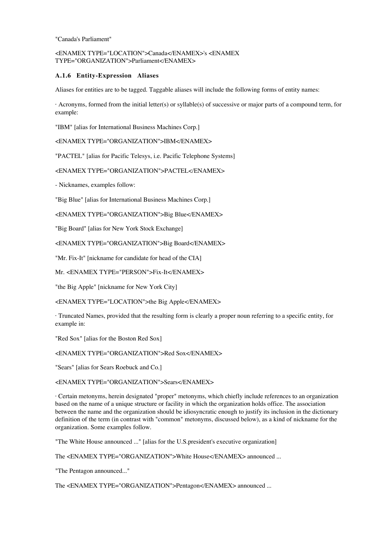"Canada's Parliament"

# <ENAMEX TYPE="LOCATION">Canada</ENAMEX>'s <ENAMEX TYPE="ORGANIZATION">Parliament</ENAMEX>

## **A.1.6 Entity-Expression Aliases**

Aliases for entities are to be tagged. Taggable aliases will include the following forms of entity names:

· Acronyms, formed from the initial letter(s) or syllable(s) of successive or major parts of a compound term, for example:

"IBM" [alias for International Business Machines Corp.]

<ENAMEX TYPE="ORGANIZATION">IBM</ENAMEX>

"PACTEL" [alias for Pacific Telesys, i.e. Pacific Telephone Systems]

<ENAMEX TYPE="ORGANIZATION">PACTEL</ENAMEX>

- Nicknames, examples follow:

"Big Blue" [alias for International Business Machines Corp.]

<ENAMEX TYPE="ORGANIZATION">Big Blue</ENAMEX>

"Big Board" [alias for New York Stock Exchange]

<ENAMEX TYPE="ORGANIZATION">Big Board</ENAMEX>

"Mr. Fix-It" [nickname for candidate for head of the CIA]

Mr. <ENAMEX TYPE="PERSON">Fix-It</ENAMEX>

"the Big Apple" [nickname for New York City]

<ENAMEX TYPE="LOCATION">the Big Apple</ENAMEX>

· Truncated Names, provided that the resulting form is clearly a proper noun referring to a specific entity, for example in:

"Red Sox" [alias for the Boston Red Sox]

<ENAMEX TYPE="ORGANIZATION">Red Sox</ENAMEX>

"Sears" [alias for Sears Roebuck and Co.]

<ENAMEX TYPE="ORGANIZATION">Sears</ENAMEX>

· Certain metonyms, herein designated "proper" metonyms, which chiefly include references to an organization based on the name of a unique structure or facility in which the organization holds office. The association between the name and the organization should be idiosyncratic enough to justify its inclusion in the dictionary definition of the term (in contrast with "common" metonyms, discussed below), as a kind of nickname for the organization. Some examples follow.

"The White House announced ..." [alias for the U.S.president's executive organization]

The <ENAMEX TYPE="ORGANIZATION">White House</ENAMEX> announced ...

"The Pentagon announced..."

The <ENAMEX TYPE="ORGANIZATION">Pentagon</ENAMEX> announced ...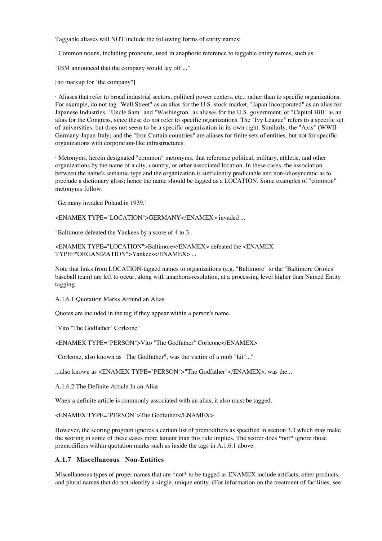Taggable aliases will NOT include the following forms of entity names:

· Common nouns, including pronouns, used in anaphoric reference to taggable entity names, such as

"IBM announced that the company would lay off ..."

[no markup for "the company"]

· Aliases that refer to broad industrial sectors, political power centers, etc., rather than to specific organizations. For example, do not tag "Wall Street" as an alias for the U.S. stock market, "Japan Incorporated" as an alias for Japanese Industries, "Uncle Sam" and "Washington" as aliases for the U.S. government, or "Capitol Hill" as an alias for the Congress, since these do not refer to specific organizations. The "Ivy League" refers to a specific set of universities, but does not seem to be a specific organization in its own right. Similarly, the "Axis" (WWII Germany-Japan-Italy) and the "Iron Curtain countries" are aliases for finite sets of entities, but not for specific organizations with corporation-like infrastructures.

· Metonyms, herein designated "common" metonyms, that reference political, military, athletic, and other organizations by the name of a city, country, or other associated location. In these cases, the association between the name's semantic type and the organization is sufficiently predictable and non-idiosyncratic as to preclude a dictionary gloss; hence the name should be tagged as a LOCATION. Some examples of "common" metonyms follow.

"Germany invaded Poland in 1939."

<ENAMEX TYPE="LOCATION">GERMANY</ENAMEX> invaded ...

"Baltimore defeated the Yankees by a score of 4 to 3.

<ENAMEX TYPE="LOCATION">Baltimore</ENAMEX> defeated the <ENAMEX TYPE="ORGANIZATION">Yankees</ENAMEX> ...

Note that links from LOCATION-tagged names to organizations (e.g. "Baltimore" to the "Baltimore Orioles" baseball team) are left to occur, along with anaphora-resolution, at a processing level higher than Named Entity tagging.

A.1.6.1 Quotation Marks Around an Alias

Quotes are included in the tag if they appear within a person's name.

"Vito "The Godfather" Corleone"

<ENAMEX TYPE="PERSON">Vito "The Godfather" Corleone</ENAMEX>

"Corleone, also known as "The Godfather", was the victim of a mob "hit"..."

...also known as <ENAMEX TYPE="PERSON">"The Godfather"</ENAMEX>, was the...

A.1.6.2 The Definite Article In an Alias

When a definite article is commonly associated with an alias, it also must be tagged.

<ENAMEX TYPE="PERSON">The Godfather</ENAMEX>

However, the scoring program ignores a certain list of premodifiers as specified in section 3.3 which may make the scoring in some of these cases more lenient than this rule implies. The scorer does \*not\* ignore those premodifiers within quotation marks such as inside the tags in A.1.6.1 above.

## **A.1.7 Miscellaneous Non-Entities**

Miscellaneous types of proper names that are \*not\* to be tagged as ENAMEX include artifacts, other products, and plural names that do not identify a single, unique entity. (For information on the treatment of facilities, see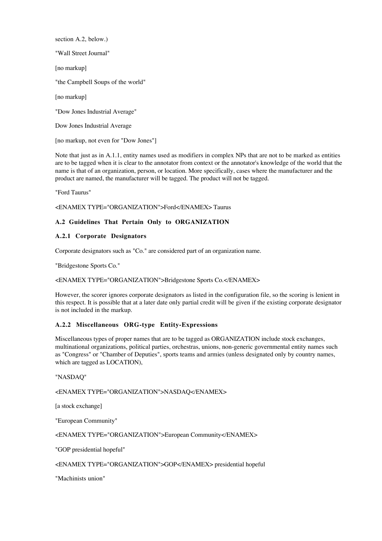section A.2, below.)

"Wall Street Journal"

[no markup]

"the Campbell Soups of the world"

[no markup]

"Dow Jones Industrial Average"

Dow Jones Industrial Average

[no markup, not even for "Dow Jones"]

Note that just as in A.1.1, entity names used as modifiers in complex NPs that are not to be marked as entities are to be tagged when it is clear to the annotator from context or the annotator's knowledge of the world that the name is that of an organization, person, or location. More specifically, cases where the manufacturer and the product are named, the manufacturer will be tagged. The product will not be tagged.

"Ford Taurus"

#### <ENAMEX TYPE="ORGANIZATION">Ford</ENAMEX> Taurus

## **A.2 Guidelines That Pertain Only to ORGANIZATION**

## **A.2.1 Corporate Designators**

Corporate designators such as "Co." are considered part of an organization name.

"Bridgestone Sports Co."

## <ENAMEX TYPE="ORGANIZATION">Bridgestone Sports Co.</ENAMEX>

However, the scorer ignores corporate designators as listed in the configuration file, so the scoring is lenient in this respect. It is possible that at a later date only partial credit will be given if the existing corporate designator is not included in the markup.

# **A.2.2 Miscellaneous ORG-type Entity-Expressions**

Miscellaneous types of proper names that are to be tagged as ORGANIZATION include stock exchanges, multinational organizations, political parties, orchestras, unions, non-generic governmental entity names such as "Congress" or "Chamber of Deputies", sports teams and armies (unless designated only by country names, which are tagged as LOCATION),

## "NASDAQ"

# <ENAMEX TYPE="ORGANIZATION">NASDAQ</ENAMEX>

[a stock exchange]

"European Community"

<ENAMEX TYPE="ORGANIZATION">European Community</ENAMEX>

"GOP presidential hopeful"

<ENAMEX TYPE="ORGANIZATION">GOP</ENAMEX> presidential hopeful

"Machinists union"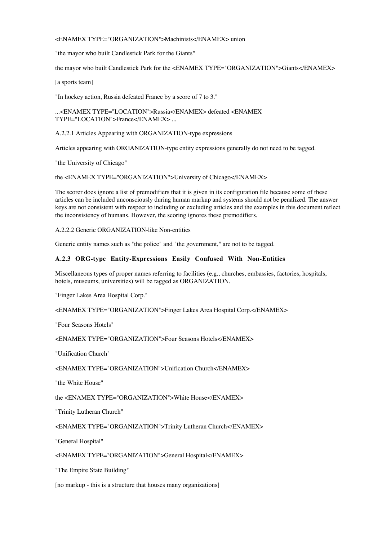# <ENAMEX TYPE="ORGANIZATION">Machinists</ENAMEX> union

"the mayor who built Candlestick Park for the Giants"

the mayor who built Candlestick Park for the <ENAMEX TYPE="ORGANIZATION">Giants</ENAMEX>

[a sports team]

"In hockey action, Russia defeated France by a score of 7 to 3."

...<ENAMEX TYPE="LOCATION">Russia</ENAMEX> defeated <ENAMEX TYPE="LOCATION">France</ENAMEX> ...

A.2.2.1 Articles Appearing with ORGANIZATION-type expressions

Articles appearing with ORGANIZATION-type entity expressions generally do not need to be tagged.

"the University of Chicago"

the <ENAMEX TYPE="ORGANIZATION">University of Chicago</ENAMEX>

The scorer does ignore a list of premodifiers that it is given in its configuration file because some of these articles can be included unconsciously during human markup and systems should not be penalized. The answer keys are not consistent with respect to including or excluding articles and the examples in this document reflect the inconsistency of humans. However, the scoring ignores these premodifiers.

A.2.2.2 Generic ORGANIZATION-like Non-entities

Generic entity names such as "the police" and "the government," are not to be tagged.

#### **A.2.3 ORG-type Entity-Expressions Easily Confused With Non-Entities**

Miscellaneous types of proper names referring to facilities (e.g., churches, embassies, factories, hospitals, hotels, museums, universities) will be tagged as ORGANIZATION.

"Finger Lakes Area Hospital Corp."

<ENAMEX TYPE="ORGANIZATION">Finger Lakes Area Hospital Corp.</ENAMEX>

"Four Seasons Hotels"

<ENAMEX TYPE="ORGANIZATION">Four Seasons Hotels</ENAMEX>

"Unification Church"

<ENAMEX TYPE="ORGANIZATION">Unification Church</ENAMEX>

"the White House"

the <ENAMEX TYPE="ORGANIZATION">White House</ENAMEX>

"Trinity Lutheran Church"

<ENAMEX TYPE="ORGANIZATION">Trinity Lutheran Church</ENAMEX>

"General Hospital"

<ENAMEX TYPE="ORGANIZATION">General Hospital</ENAMEX>

"The Empire State Building"

[no markup - this is a structure that houses many organizations]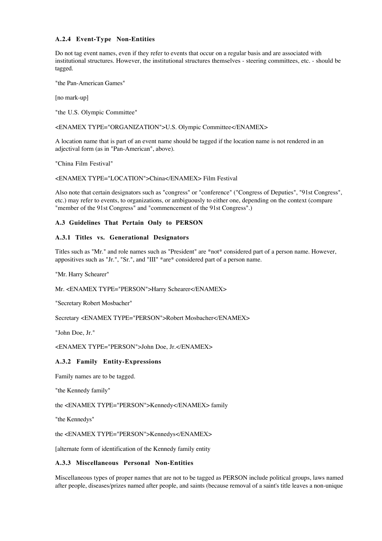## **A.2.4 Event-Type Non-Entities**

Do not tag event names, even if they refer to events that occur on a regular basis and are associated with institutional structures. However, the institutional structures themselves - steering committees, etc. - should be tagged.

"the Pan-American Games"

[no mark-up]

"the U.S. Olympic Committee"

<ENAMEX TYPE="ORGANIZATION">U.S. Olympic Committee</ENAMEX>

A location name that is part of an event name should be tagged if the location name is not rendered in an adjectival form (as in "Pan-American", above).

"China Film Festival"

<ENAMEX TYPE="LOCATION">China</ENAMEX> Film Festival

Also note that certain designators such as "congress" or "conference" ("Congress of Deputies", "91st Congress", etc.) may refer to events, to organizations, or ambiguously to either one, depending on the context (compare "member of the 91st Congress" and "commencement of the 91st Congress".)

## **A.3 Guidelines That Pertain Only to PERSON**

## **A.3.1 Titles vs. Generational Designators**

Titles such as "Mr." and role names such as "President" are \*not\* considered part of a person name. However, appositives such as "Jr.", "Sr.", and "III" \*are\* considered part of a person name.

"Mr. Harry Schearer"

Mr. <ENAMEX TYPE="PERSON">Harry Schearer</ENAMEX>

"Secretary Robert Mosbacher"

Secretary <ENAMEX TYPE="PERSON">Robert Mosbacher</ENAMEX>

"John Doe, Jr."

<ENAMEX TYPE="PERSON">John Doe, Jr.</ENAMEX>

# **A.3.2 Family Entity-Expressions**

Family names are to be tagged.

"the Kennedy family"

the <ENAMEX TYPE="PERSON">Kennedy</ENAMEX> family

"the Kennedys"

the <ENAMEX TYPE="PERSON">Kennedys</ENAMEX>

[alternate form of identification of the Kennedy family entity

## **A.3.3 Miscellaneous Personal Non-Entities**

Miscellaneous types of proper names that are not to be tagged as PERSON include political groups, laws named after people, diseases/prizes named after people, and saints (because removal of a saint's title leaves a non-unique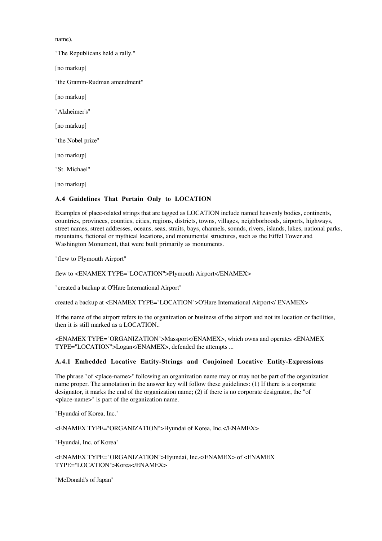name).

"The Republicans held a rally." [no markup] "the Gramm-Rudman amendment" [no markup] "Alzheimer's" [no markup] "the Nobel prize" [no markup] "St. Michael" [no markup]

# **A.4 Guidelines That Pertain Only to LOCATION**

Examples of place-related strings that are tagged as LOCATION include named heavenly bodies, continents, countries, provinces, counties, cities, regions, districts, towns, villages, neighborhoods, airports, highways, street names, street addresses, oceans, seas, straits, bays, channels, sounds, rivers, islands, lakes, national parks, mountains, fictional or mythical locations, and monumental structures, such as the Eiffel Tower and Washington Monument, that were built primarily as monuments.

"flew to Plymouth Airport"

flew to <ENAMEX TYPE="LOCATION">Plymouth Airport</ENAMEX>

"created a backup at O'Hare International Airport"

created a backup at <ENAMEX TYPE="LOCATION">O'Hare International Airport</ ENAMEX>

If the name of the airport refers to the organization or business of the airport and not its location or facilities, then it is still marked as a LOCATION..

<ENAMEX TYPE="ORGANIZATION">Massport</ENAMEX>, which owns and operates <ENAMEX TYPE="LOCATION">Logan</ENAMEX>, defended the attempts ...

## **A.4.1 Embedded Locative Entity-Strings and Conjoined Locative Entity-Expressions**

The phrase "of <place-name>" following an organization name may or may not be part of the organization name proper. The annotation in the answer key will follow these guidelines: (1) If there is a corporate designator, it marks the end of the organization name; (2) if there is no corporate designator, the "of <place-name>" is part of the organization name.

"Hyundai of Korea, Inc."

<ENAMEX TYPE="ORGANIZATION">Hyundai of Korea, Inc.</ENAMEX>

"Hyundai, Inc. of Korea"

<ENAMEX TYPE="ORGANIZATION">Hyundai, Inc.</ENAMEX> of <ENAMEX TYPE="LOCATION">Korea</ENAMEX>

"McDonald's of Japan"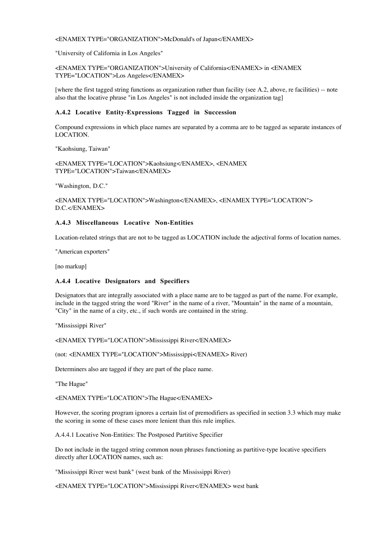#### <ENAMEX TYPE="ORGANIZATION">McDonald's of Japan</ENAMEX>

"University of California in Los Angeles"

<ENAMEX TYPE="ORGANIZATION">University of California</ENAMEX> in <ENAMEX TYPE="LOCATION">Los Angeles</ENAMEX>

[where the first tagged string functions as organization rather than facility (see A.2, above, re facilities) -- note also that the locative phrase "in Los Angeles" is not included inside the organization tag]

## **A.4.2 Locative Entity-Expressions Tagged in Succession**

Compound expressions in which place names are separated by a comma are to be tagged as separate instances of LOCATION.

"Kaohsiung, Taiwan"

<ENAMEX TYPE="LOCATION">Kaohsiung</ENAMEX>, <ENAMEX TYPE="LOCATION">Taiwan</ENAMEX>

"Washington, D.C."

<ENAMEX TYPE="LOCATION">Washington</ENAMEX>, <ENAMEX TYPE="LOCATION"> D.C.</ENAMEX>

# **A.4.3 Miscellaneous Locative Non-Entities**

Location-related strings that are not to be tagged as LOCATION include the adjectival forms of location names.

"American exporters"

[no markup]

#### **A.4.4 Locative Designators and Specifiers**

Designators that are integrally associated with a place name are to be tagged as part of the name. For example, include in the tagged string the word "River" in the name of a river, "Mountain" in the name of a mountain, "City" in the name of a city, etc., if such words are contained in the string.

"Mississippi River"

```
<ENAMEX TYPE="LOCATION">Mississippi River</ENAMEX>
```
(not: <ENAMEX TYPE="LOCATION">Mississippi</ENAMEX> River)

Determiners also are tagged if they are part of the place name.

"The Hague"

<ENAMEX TYPE="LOCATION">The Hague</ENAMEX>

However, the scoring program ignores a certain list of premodifiers as specified in section 3.3 which may make the scoring in some of these cases more lenient than this rule implies.

A.4.4.1 Locative Non-Entities: The Postposed Partitive Specifier

Do not include in the tagged string common noun phrases functioning as partitive-type locative specifiers directly after LOCATION names, such as:

"Mississippi River west bank" (west bank of the Mississippi River)

<ENAMEX TYPE="LOCATION">Mississippi River</ENAMEX> west bank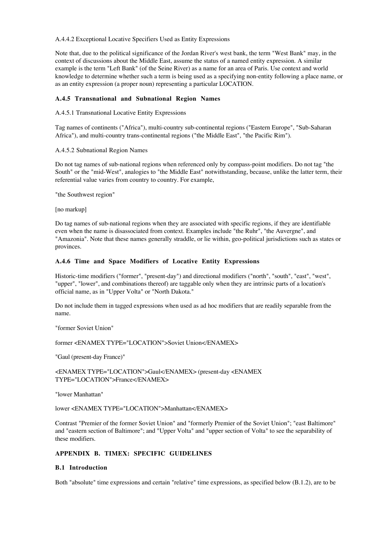#### A.4.4.2 Exceptional Locative Specifiers Used as Entity Expressions

Note that, due to the political significance of the Jordan River's west bank, the term "West Bank" may, in the context of discussions about the Middle East, assume the status of a named entity expression. A similar example is the term "Left Bank" (of the Seine River) as a name for an area of Paris. Use context and world knowledge to determine whether such a term is being used as a specifying non-entity following a place name, or as an entity expression (a proper noun) representing a particular LOCATION.

## **A.4.5 Transnational and Subnational Region Names**

## A.4.5.1 Transnational Locative Entity Expressions

Tag names of continents ("Africa"), multi-country sub-continental regions ("Eastern Europe", "Sub-Saharan Africa"), and multi-country trans-continental regions ("the Middle East", "the Pacific Rim").

## A.4.5.2 Subnational Region Names

Do not tag names of sub-national regions when referenced only by compass-point modifiers. Do not tag "the South" or the "mid-West", analogies to "the Middle East" notwithstanding, because, unlike the latter term, their referential value varies from country to country. For example,

"the Southwest region"

[no markup]

Do tag names of sub-national regions when they are associated with specific regions, if they are identifiable even when the name is disassociated from context. Examples include "the Ruhr", "the Auvergne", and "Amazonia". Note that these names generally straddle, or lie within, geo-political jurisdictions such as states or provinces.

# **A.4.6 Time and Space Modifiers of Locative Entity Expressions**

Historic-time modifiers ("former", "present-day") and directional modifiers ("north", "south", "east", "west", "upper", "lower", and combinations thereof) are taggable only when they are intrinsic parts of a location's official name, as in "Upper Volta" or "North Dakota."

Do not include them in tagged expressions when used as ad hoc modifiers that are readily separable from the name.

"former Soviet Union"

former <ENAMEX TYPE="LOCATION">Soviet Union</ENAMEX>

"Gaul (present-day France)"

<ENAMEX TYPE="LOCATION">Gaul</ENAMEX> (present-day <ENAMEX TYPE="LOCATION">France</ENAMEX>

"lower Manhattan"

lower <ENAMEX TYPE="LOCATION">Manhattan</ENAMEX>

Contrast "Premier of the former Soviet Union" and "formerly Premier of the Soviet Union"; "east Baltimore" and "eastern section of Baltimore"; and "Upper Volta" and "upper section of Volta" to see the separability of these modifiers.

# **APPENDIX B. TIMEX: SPECIFIC GUIDELINES**

# **B.1 Introduction**

Both "absolute" time expressions and certain "relative" time expressions, as specified below (B.1.2), are to be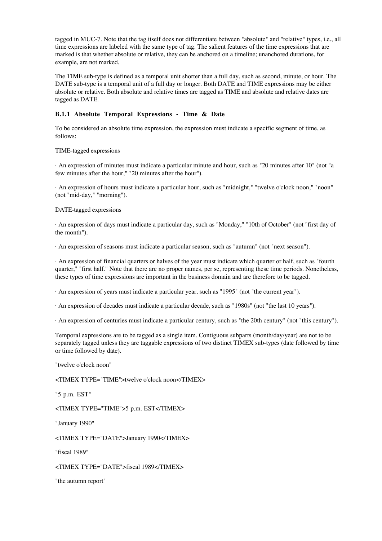tagged in MUC-7. Note that the tag itself does not differentiate between "absolute" and "relative" types, i.e., all time expressions are labeled with the same type of tag. The salient features of the time expressions that are marked is that whether absolute or relative, they can be anchored on a timeline; unanchored durations, for example, are not marked.

The TIME sub-type is defined as a temporal unit shorter than a full day, such as second, minute, or hour. The DATE sub-type is a temporal unit of a full day or longer. Both DATE and TIME expressions may be either absolute or relative. Both absolute and relative times are tagged as TIME and absolute and relative dates are tagged as DATE.

## **B.1.1 Absolute Temporal Expressions - Time & Date**

To be considered an absolute time expression, the expression must indicate a specific segment of time, as follows:

TIME-tagged expressions

· An expression of minutes must indicate a particular minute and hour, such as "20 minutes after 10" (not "a few minutes after the hour," "20 minutes after the hour").

· An expression of hours must indicate a particular hour, such as "midnight," "twelve o'clock noon," "noon" (not "mid-day," "morning").

DATE-tagged expressions

· An expression of days must indicate a particular day, such as "Monday," "10th of October" (not "first day of the month").

· An expression of seasons must indicate a particular season, such as "autumn" (not "next season").

· An expression of financial quarters or halves of the year must indicate which quarter or half, such as "fourth quarter," "first half." Note that there are no proper names, per se, representing these time periods. Nonetheless, these types of time expressions are important in the business domain and are therefore to be tagged.

· An expression of years must indicate a particular year, such as "1995" (not "the current year").

· An expression of decades must indicate a particular decade, such as "1980s" (not "the last 10 years").

· An expression of centuries must indicate a particular century, such as "the 20th century" (not "this century").

Temporal expressions are to be tagged as a single item. Contiguous subparts (month/day/year) are not to be separately tagged unless they are taggable expressions of two distinct TIMEX sub-types (date followed by time or time followed by date).

"twelve o'clock noon"

<TIMEX TYPE="TIME">twelve o'clock noon</TIMEX>

"5 p.m. EST"

<TIMEX TYPE="TIME">5 p.m. EST</TIMEX>

"January 1990"

<TIMEX TYPE="DATE">January 1990</TIMEX>

"fiscal 1989"

<TIMEX TYPE="DATE">fiscal 1989</TIMEX>

"the autumn report"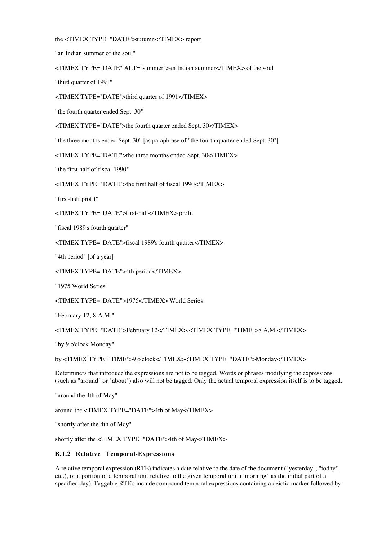```
the <TIMEX TYPE="DATE">autumn</TIMEX> report
```
"an Indian summer of the soul"

<TIMEX TYPE="DATE" ALT="summer">an Indian summer</TIMEX> of the soul

"third quarter of 1991"

<TIMEX TYPE="DATE">third quarter of 1991</TIMEX>

"the fourth quarter ended Sept. 30"

<TIMEX TYPE="DATE">the fourth quarter ended Sept. 30</TIMEX>

"the three months ended Sept. 30" [as paraphrase of "the fourth quarter ended Sept. 30"]

<TIMEX TYPE="DATE">the three months ended Sept. 30</TIMEX>

"the first half of fiscal 1990"

<TIMEX TYPE="DATE">the first half of fiscal 1990</TIMEX>

"first-half profit"

<TIMEX TYPE="DATE">first-half</TIMEX> profit

"fiscal 1989's fourth quarter"

<TIMEX TYPE="DATE">fiscal 1989's fourth quarter</TIMEX>

"4th period" [of a year]

<TIMEX TYPE="DATE">4th period</TIMEX>

"1975 World Series"

<TIMEX TYPE="DATE">1975</TIMEX> World Series

"February 12, 8 A.M."

<TIMEX TYPE="DATE">February 12</TIMEX>,<TIMEX TYPE="TIME">8 A.M.</TIMEX>

"by 9 o'clock Monday"

by <TIMEX TYPE="TIME">9 o'clock</TIMEX><TIMEX TYPE="DATE">Monday</TIMEX>

Determiners that introduce the expressions are not to be tagged. Words or phrases modifying the expressions (such as "around" or "about") also will not be tagged. Only the actual temporal expression itself is to be tagged.

"around the 4th of May"

around the <TIMEX TYPE="DATE">4th of May</TIMEX>

"shortly after the 4th of May"

shortly after the <TIMEX TYPE="DATE">4th of May</TIMEX>

# **B.1.2 Relative Temporal-Expressions**

A relative temporal expression (RTE) indicates a date relative to the date of the document ("yesterday", "today", etc.), or a portion of a temporal unit relative to the given temporal unit ("morning" as the initial part of a specified day). Taggable RTE's include compound temporal expressions containing a deictic marker followed by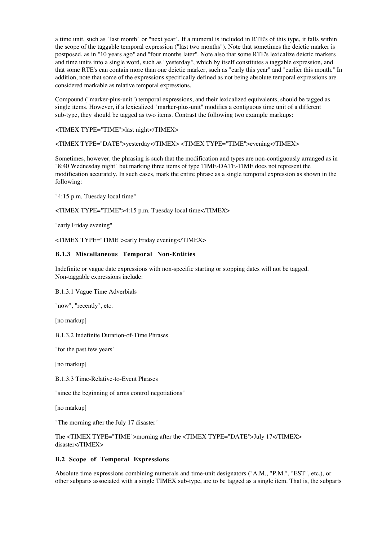a time unit, such as "last month" or "next year". If a numeral is included in RTE's of this type, it falls within the scope of the taggable temporal expression ("last two months"). Note that sometimes the deictic marker is postposed, as in "10 years ago" and "four months later". Note also that some RTE's lexicalize deictic markers and time units into a single word, such as "yesterday", which by itself constitutes a taggable expression, and that some RTE's can contain more than one deictic marker, such as "early this year" and "earlier this month." In addition, note that some of the expressions specifically defined as not being absolute temporal expressions are considered markable as relative temporal expressions.

Compound ("marker-plus-unit") temporal expressions, and their lexicalized equivalents, should be tagged as single items. However, if a lexicalized "marker-plus-unit" modifies a contiguous time unit of a different sub-type, they should be tagged as two items. Contrast the following two example markups:

<TIMEX TYPE="TIME">last night</TIMEX>

<TIMEX TYPE="DATE">yesterday</TIMEX> <TIMEX TYPE="TIME">evening</TIMEX>

Sometimes, however, the phrasing is such that the modification and types are non-contiguously arranged as in "8:40 Wednesday night" but marking three items of type TIME-DATE-TIME does not represent the modification accurately. In such cases, mark the entire phrase as a single temporal expression as shown in the following:

"4:15 p.m. Tuesday local time"

<TIMEX TYPE="TIME">4:15 p.m. Tuesday local time</TIMEX>

"early Friday evening"

<TIMEX TYPE="TIME">early Friday evening</TIMEX>

#### **B.1.3 Miscellaneous Temporal Non-Entities**

Indefinite or vague date expressions with non-specific starting or stopping dates will not be tagged. Non-taggable expressions include:

B.1.3.1 Vague Time Adverbials

"now", "recently", etc.

[no markup]

B.1.3.2 Indefinite Duration-of-Time Phrases

"for the past few years"

[no markup]

B.1.3.3 Time-Relative-to-Event Phrases

"since the beginning of arms control negotiations"

[no markup]

"The morning after the July 17 disaster"

The <TIMEX TYPE="TIME">morning after the <TIMEX TYPE="DATE">July 17</TIMEX> disaster</TIMEX>

## **B.2 Scope of Temporal Expressions**

Absolute time expressions combining numerals and time-unit designators ("A.M., "P.M.", "EST", etc.), or other subparts associated with a single TIMEX sub-type, are to be tagged as a single item. That is, the subparts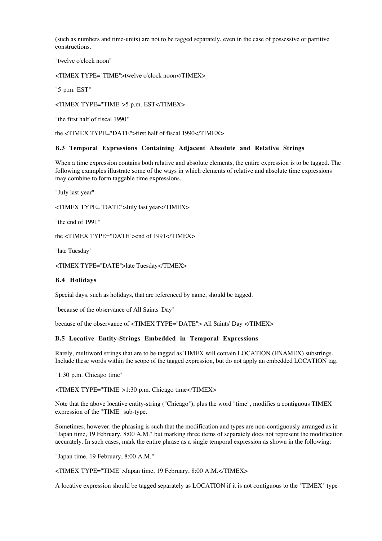(such as numbers and time-units) are not to be tagged separately, even in the case of possessive or partitive constructions.

"twelve o'clock noon"

<TIMEX TYPE="TIME">twelve o'clock noon</TIMEX>

"5 p.m. EST"

<TIMEX TYPE="TIME">5 p.m. EST</TIMEX>

"the first half of fiscal 1990"

the <TIMEX TYPE="DATE">first half of fiscal 1990</TIMEX>

## **B.3 Temporal Expressions Containing Adjacent Absolute and Relative Strings**

When a time expression contains both relative and absolute elements, the entire expression is to be tagged. The following examples illustrate some of the ways in which elements of relative and absolute time expressions may combine to form taggable time expressions.

"July last year"

<TIMEX TYPE="DATE">July last year</TIMEX>

"the end of 1991"

the <TIMEX TYPE="DATE">end of 1991</TIMEX>

"late Tuesday"

<TIMEX TYPE="DATE">late Tuesday</TIMEX>

## **B.4 Holidays**

Special days, such as holidays, that are referenced by name, should be tagged.

"because of the observance of All Saints' Day"

because of the observance of <TIMEX TYPE="DATE"> All Saints' Day </TIMEX>

## **B.5 Locative Entity-Strings Embedded in Temporal Expressions**

Rarely, multiword strings that are to be tagged as TIMEX will contain LOCATION (ENAMEX) substrings. Include these words within the scope of the tagged expression, but do not apply an embedded LOCATION tag.

"1:30 p.m. Chicago time"

<TIMEX TYPE="TIME">1:30 p.m. Chicago time</TIMEX>

Note that the above locative entity-string ("Chicago"), plus the word "time", modifies a contiguous TIMEX expression of the "TIME" sub-type.

Sometimes, however, the phrasing is such that the modification and types are non-contiguously arranged as in "Japan time, 19 February, 8:00 A.M." but marking three items of separately does not represent the modification accurately. In such cases, mark the entire phrase as a single temporal expression as shown in the following:

"Japan time, 19 February, 8:00 A.M."

<TIMEX TYPE="TIME">Japan time, 19 February, 8:00 A.M.</TIMEX>

A locative expression should be tagged separately as LOCATION if it is not contiguous to the "TIMEX" type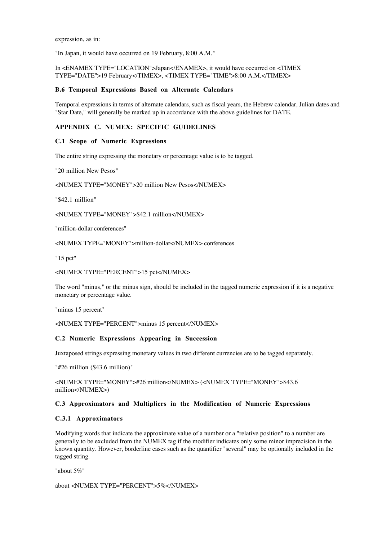expression, as in:

"In Japan, it would have occurred on 19 February, 8:00 A.M."

In <ENAMEX TYPE="LOCATION">Japan</ENAMEX>, it would have occurred on <TIMEX TYPE="DATE">19 February</TIMEX>, <TIMEX TYPE="TIME">8:00 A.M.</TIMEX>

#### **B.6 Temporal Expressions Based on Alternate Calendars**

Temporal expressions in terms of alternate calendars, such as fiscal years, the Hebrew calendar, Julian dates and "Star Date," will generally be marked up in accordance with the above guidelines for DATE.

# **APPENDIX C. NUMEX: SPECIFIC GUIDELINES**

#### **C.1 Scope of Numeric Expressions**

The entire string expressing the monetary or percentage value is to be tagged.

"20 million New Pesos"

<NUMEX TYPE="MONEY">20 million New Pesos</NUMEX>

"\$42.1 million"

<NUMEX TYPE="MONEY">\$42.1 million</NUMEX>

"million-dollar conferences"

<NUMEX TYPE="MONEY">million-dollar</NUMEX> conferences

"15 pct"

<NUMEX TYPE="PERCENT">15 pct</NUMEX>

The word "minus," or the minus sign, should be included in the tagged numeric expression if it is a negative monetary or percentage value.

"minus 15 percent"

<NUMEX TYPE="PERCENT">minus 15 percent</NUMEX>

## **C.2 Numeric Expressions Appearing in Succession**

Juxtaposed strings expressing monetary values in two different currencies are to be tagged separately.

"#26 million (\$43.6 million)"

<NUMEX TYPE="MONEY">#26 million</NUMEX> (<NUMEX TYPE="MONEY">\$43.6 million</NUMEX>)

## **C.3 Approximators and Multipliers in the Modification of Numeric Expressions**

## **C.3.1 Approximators**

Modifying words that indicate the approximate value of a number or a "relative position" to a number are generally to be excluded from the NUMEX tag if the modifier indicates only some minor imprecision in the known quantity. However, borderline cases such as the quantifier "several" may be optionally included in the tagged string.

"about 5%"

about <NUMEX TYPE="PERCENT">5%</NUMEX>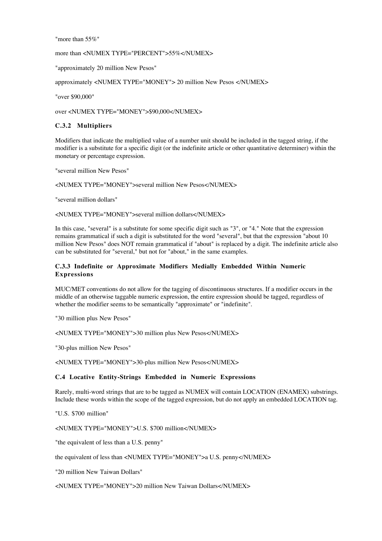"more than 55%"

more than <NUMEX TYPE="PERCENT">55%</NUMEX>

"approximately 20 million New Pesos"

approximately <NUMEX TYPE="MONEY"> 20 million New Pesos </NUMEX>

"over \$90,000"

over <NUMEX TYPE="MONEY">\$90,000</NUMEX>

#### **C.3.2 Multipliers**

Modifiers that indicate the multiplied value of a number unit should be included in the tagged string, if the modifier is a substitute for a specific digit (or the indefinite article or other quantitative determiner) within the monetary or percentage expression.

"several million New Pesos"

<NUMEX TYPE="MONEY">several million New Pesos</NUMEX>

"several million dollars"

<NUMEX TYPE="MONEY">several million dollars</NUMEX>

In this case, "several" is a substitute for some specific digit such as "3", or "4." Note that the expression remains grammatical if such a digit is substituted for the word "several", but that the expression "about 10 million New Pesos" does NOT remain grammatical if "about" is replaced by a digit. The indefinite article also can be substituted for "several," but not for "about," in the same examples.

#### **C.3.3 Indefinite or Approximate Modifiers Medially Embedded Within Numeric Expressions**

MUC/MET conventions do not allow for the tagging of discontinuous structures. If a modifier occurs in the middle of an otherwise taggable numeric expression, the entire expression should be tagged, regardless of whether the modifier seems to be semantically "approximate" or "indefinite".

"30 million plus New Pesos"

<NUMEX TYPE="MONEY">30 million plus New Pesos</NUMEX>

"30-plus million New Pesos"

<NUMEX TYPE="MONEY">30-plus million New Pesos</NUMEX>

#### **C.4 Locative Entity-Strings Embedded in Numeric Expressions**

Rarely, multi-word strings that are to be tagged as NUMEX will contain LOCATION (ENAMEX) substrings. Include these words within the scope of the tagged expression, but do not apply an embedded LOCATION tag.

"U.S. \$700 million"

<NUMEX TYPE="MONEY">U.S. \$700 million</NUMEX>

"the equivalent of less than a U.S. penny"

the equivalent of less than <NUMEX TYPE="MONEY">a U.S. penny</NUMEX>

"20 million New Taiwan Dollars"

<NUMEX TYPE="MONEY">20 million New Taiwan Dollars</NUMEX>